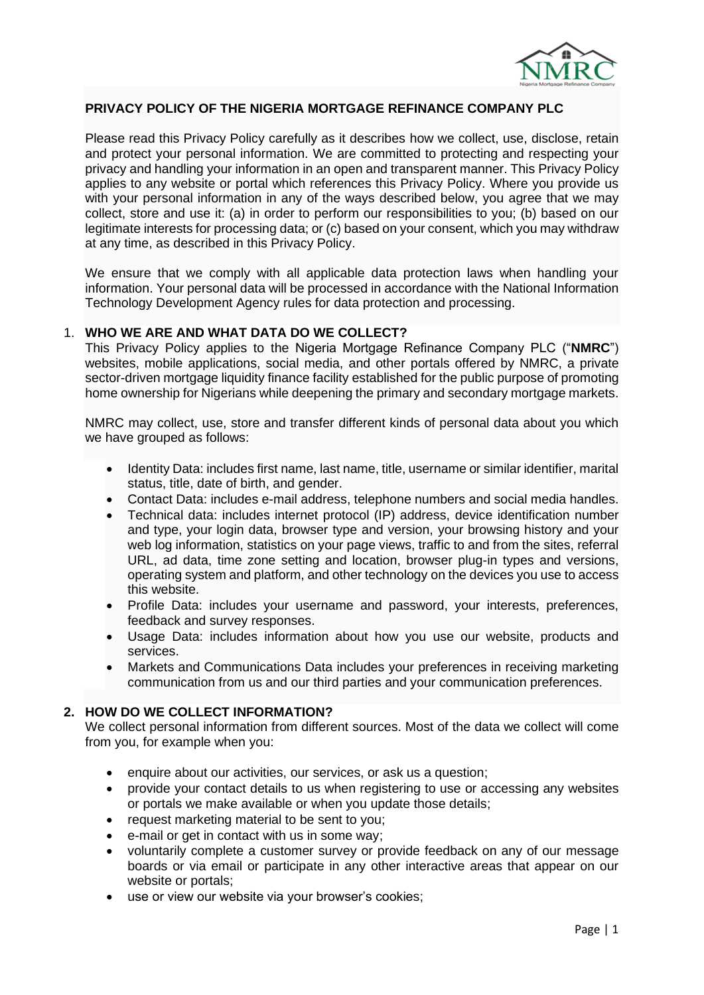

# **PRIVACY POLICY OF THE NIGERIA MORTGAGE REFINANCE COMPANY PLC**

Please read this Privacy Policy carefully as it describes how we collect, use, disclose, retain and protect your personal information. We are committed to protecting and respecting your privacy and handling your information in an open and transparent manner. This Privacy Policy applies to any website or portal which references this Privacy Policy. Where you provide us with your personal information in any of the ways described below, you agree that we may collect, store and use it: (a) in order to perform our responsibilities to you; (b) based on our legitimate interests for processing data; or (c) based on your consent, which you may withdraw at any time, as described in this Privacy Policy.

We ensure that we comply with all applicable data protection laws when handling your information. Your personal data will be processed in accordance with the National Information Technology Development Agency rules for data protection and processing.

### 1. **WHO WE ARE AND WHAT DATA DO WE COLLECT?**

This Privacy Policy applies to the Nigeria Mortgage Refinance Company PLC ("**NMRC**") websites, mobile applications, social media, and other portals offered by NMRC, a private sector-driven mortgage liquidity finance facility established for the public purpose of promoting home ownership for Nigerians while deepening the primary and secondary mortgage markets.

NMRC may collect, use, store and transfer different kinds of personal data about you which we have grouped as follows:

- Identity Data: includes first name, last name, title, username or similar identifier, marital status, title, date of birth, and gender.
- Contact Data: includes e-mail address, telephone numbers and social media handles.
- Technical data: includes internet protocol (IP) address, device identification number and type, your login data, browser type and version, your browsing history and your web log information, statistics on your page views, traffic to and from the sites, referral URL, ad data, time zone setting and location, browser plug-in types and versions, operating system and platform, and other technology on the devices you use to access this website.
- Profile Data: includes your username and password, your interests, preferences, feedback and survey responses.
- Usage Data: includes information about how you use our website, products and services.
- Markets and Communications Data includes your preferences in receiving marketing communication from us and our third parties and your communication preferences.

## **2. HOW DO WE COLLECT INFORMATION?**

We collect personal information from different sources. Most of the data we collect will come from you, for example when you:

- enquire about our activities, our services, or ask us a question;
- provide your contact details to us when registering to use or accessing any websites or portals we make available or when you update those details;
- request marketing material to be sent to you;
- e-mail or get in contact with us in some way:
- voluntarily complete a customer survey or provide feedback on any of our message boards or via email or participate in any other interactive areas that appear on our website or portals;
- use or view our website via your browser's cookies;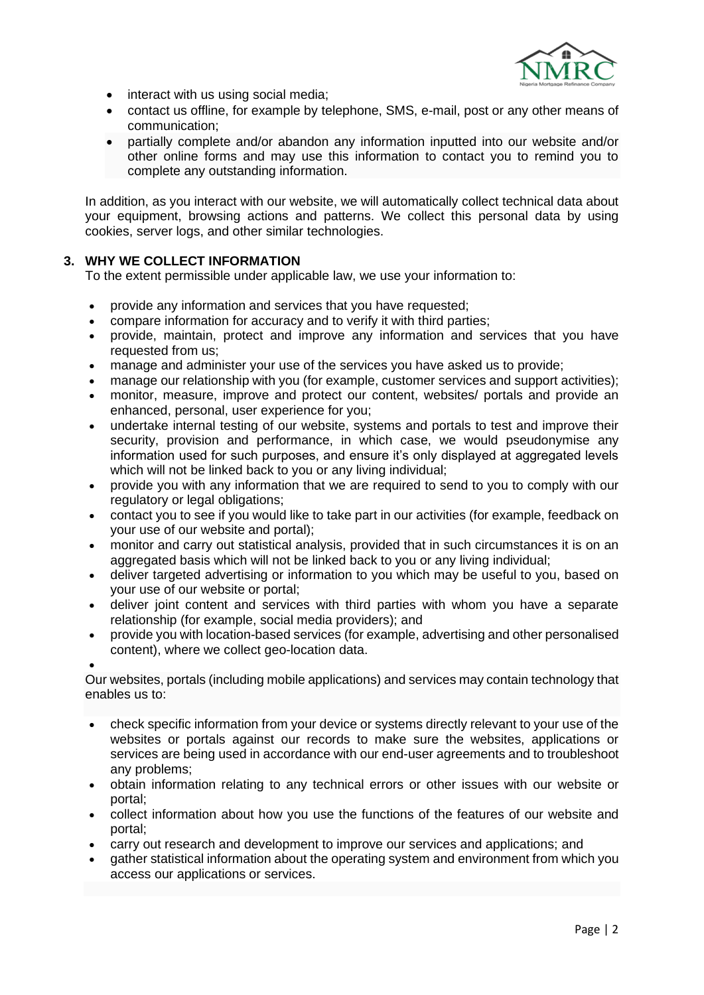

- interact with us using social media;
- contact us offline, for example by telephone, SMS, e-mail, post or any other means of communication;
- partially complete and/or abandon any information inputted into our website and/or other online forms and may use this information to contact you to remind you to complete any outstanding information.

In addition, as you interact with our website, we will automatically collect technical data about your equipment, browsing actions and patterns. We collect this personal data by using cookies, server logs, and other similar technologies.

## **3. WHY WE COLLECT INFORMATION**

To the extent permissible under applicable law, we use your information to:

- provide any information and services that you have requested:
- compare information for accuracy and to verify it with third parties;
- provide, maintain, protect and improve any information and services that you have requested from us;
- manage and administer your use of the services you have asked us to provide;
- manage our relationship with you (for example, customer services and support activities);
- monitor, measure, improve and protect our content, websites/ portals and provide an enhanced, personal, user experience for you;
- undertake internal testing of our website, systems and portals to test and improve their security, provision and performance, in which case, we would pseudonymise any information used for such purposes, and ensure it's only displayed at aggregated levels which will not be linked back to you or any living individual;
- provide you with any information that we are required to send to you to comply with our regulatory or legal obligations;
- contact you to see if you would like to take part in our activities (for example, feedback on your use of our website and portal);
- monitor and carry out statistical analysis, provided that in such circumstances it is on an aggregated basis which will not be linked back to you or any living individual;
- deliver targeted advertising or information to you which may be useful to you, based on your use of our website or portal;
- deliver joint content and services with third parties with whom you have a separate relationship (for example, social media providers); and
- provide you with location-based services (for example, advertising and other personalised content), where we collect geo-location data.

•

Our websites, portals (including mobile applications) and services may contain technology that enables us to:

- check specific information from your device or systems directly relevant to your use of the websites or portals against our records to make sure the websites, applications or services are being used in accordance with our end-user agreements and to troubleshoot any problems;
- obtain information relating to any technical errors or other issues with our website or portal;
- collect information about how you use the functions of the features of our website and portal;
- carry out research and development to improve our services and applications; and
- gather statistical information about the operating system and environment from which you access our applications or services.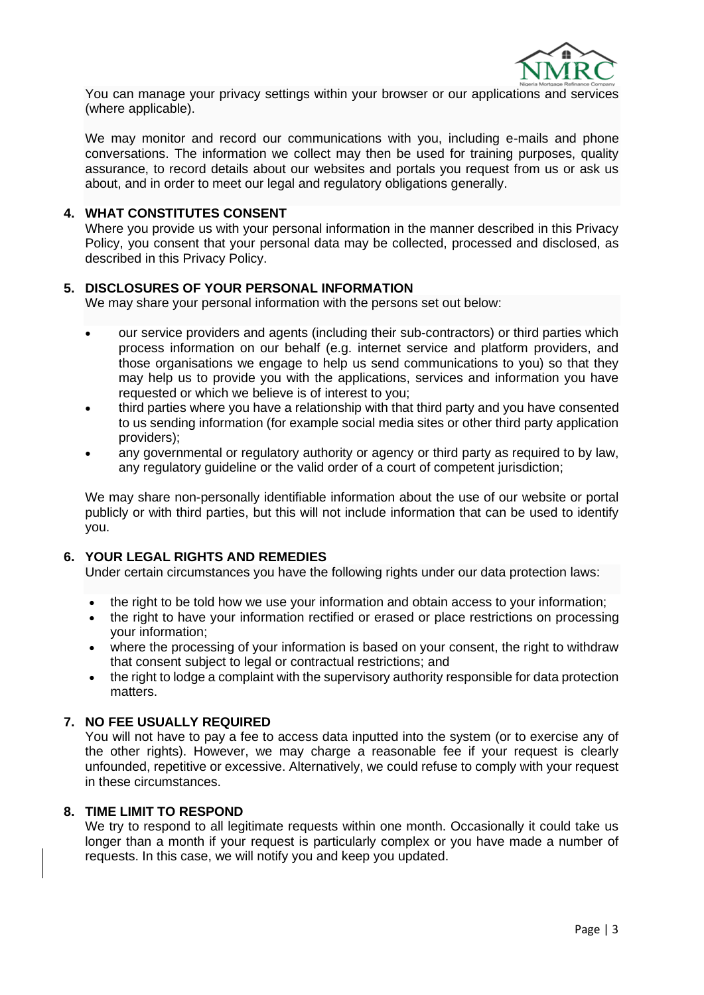

l You can manage your privacy settings within your browser or our applications and services (where applicable).

We may monitor and record our communications with you, including e-mails and phone conversations. The information we collect may then be used for training purposes, quality assurance, to record details about our websites and portals you request from us or ask us about, and in order to meet our legal and regulatory obligations generally.

### **4. WHAT CONSTITUTES CONSENT**

Where you provide us with your personal information in the manner described in this Privacy Policy, you consent that your personal data may be collected, processed and disclosed, as described in this Privacy Policy.

### **5. DISCLOSURES OF YOUR PERSONAL INFORMATION**

We may share your personal information with the persons set out below:

- our service providers and agents (including their sub-contractors) or third parties which process information on our behalf (e.g. internet service and platform providers, and those organisations we engage to help us send communications to you) so that they may help us to provide you with the applications, services and information you have requested or which we believe is of interest to you;
- third parties where you have a relationship with that third party and you have consented to us sending information (for example social media sites or other third party application providers);
- any governmental or regulatory authority or agency or third party as required to by law, any regulatory guideline or the valid order of a court of competent jurisdiction;

We may share non-personally identifiable information about the use of our website or portal publicly or with third parties, but this will not include information that can be used to identify you.

## **6. YOUR LEGAL RIGHTS AND REMEDIES**

Under certain circumstances you have the following rights under our data protection laws:

- the right to be told how we use your information and obtain access to your information;
- the right to have your information rectified or erased or place restrictions on processing your information;
- where the processing of your information is based on your consent, the right to withdraw that consent subject to legal or contractual restrictions; and
- the right to lodge a complaint with the supervisory authority responsible for data protection matters.

### **7. NO FEE USUALLY REQUIRED**

You will not have to pay a fee to access data inputted into the system (or to exercise any of the other rights). However, we may charge a reasonable fee if your request is clearly unfounded, repetitive or excessive. Alternatively, we could refuse to comply with your request in these circumstances.

## **8. TIME LIMIT TO RESPOND**

We try to respond to all legitimate requests within one month. Occasionally it could take us longer than a month if your request is particularly complex or you have made a number of requests. In this case, we will notify you and keep you updated.